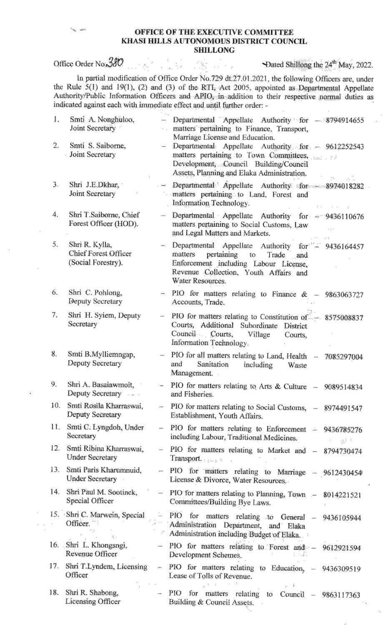## OFFICE OF THE EXECUTIVE COMMITTEE KHASI HILLS AUTONOMOUS DISTRICT COUNCIL SHILLONG

 $\alpha \in \mathcal{F}$  ,  $\beta$ 

 $\frac{1}{2}$  ,  $\frac{1}{2}$ 

 $\mathcal{F}^{\mathcal{F}}$ 

## Office Order No. 380

Dated Shillong the 24<sup>th</sup> May, 2022.

ln partial modification of Office Order No.729 dt.27.01.2021, the following Officers are, under the Rule  $5(1)$  and  $19(1)$ ,  $(2)$  and  $(3)$  of the RTI, Act 2005, appointed as Departmental Appellate Authority/Public Inforrnation Officers and APIO, in addition to their respective normal duties as indicated against each with immediate effect and until further order: -

76.

| 1.  | Smti A. Nonghuloo,<br>Joint Secretary                        |                          | Departmental Appellate Authority for - 8794914655<br>matters pertaining to Finance, Transport,<br>Marriage License and Education.                                                              |
|-----|--------------------------------------------------------------|--------------------------|------------------------------------------------------------------------------------------------------------------------------------------------------------------------------------------------|
| 2.  | Smti S. Saiborne,<br>Joint Secretary                         | $\overline{\phantom{a}}$ | Departmental Appellate Authority for - 9612252543<br>matters pertaining to Town Committees,<br>Development, Council Building/Council<br>Assets, Planning and Elaka Administration.             |
| 3.  | Shri J.E.Dkhar,<br>Joint Secretary                           | $-1$                     | Departmental Appellate Authority for - 8974018282<br>matters pertaining to Land, Forest and<br>Information Technology.                                                                         |
| 4.  | Shri T.Saiborne, Chief<br>Forest Officer (HOD).              | $\overline{\phantom{a}}$ | Departmental Appellate Authority for -- 9436110676<br>matters pertaining to Social Customs, Law<br>and Legal Matters and Markets.                                                              |
| 5.  | Shri R. Kylla,<br>Chief Forest Officer<br>(Social Forestry). | ⇒.                       | Departmental Appellate Authority for 2436164457<br>matters<br>pertaining to<br>Trade and<br>Enforcement including Labour License,<br>Revenue Collection, Youth Affairs and<br>Water Resources. |
| 6.  | Shri C. Pohlong,<br>Deputy Secretary                         | $\qquad \qquad =$        | PIO for matters relating to Finance $\&$ - 9863063727<br>Accounts, Trade.                                                                                                                      |
| 7.  | Shri H. Syiem, Deputy<br>Secretary                           | $\overline{\phantom{a}}$ | PIO for matters relating to Constitution of - 8575008837<br>Courts, Additional Subordinate District<br>Council Courts, Village<br>Courts,<br>Information Technology.                           |
| 8.  | Smti B.Mylliemngap,<br>Deputy Secretary                      |                          | - PIO for all matters relating to Land, Health - 7085297004<br>Sanitation including<br>and<br>Waste<br>Management.                                                                             |
| 9.  | Shri A. Basalawmoit,<br>Deputy Secretary                     | ÷                        | PIO for matters relating to Arts & Culture - 9089514834<br>and Fisheries.                                                                                                                      |
| 10. | Smti Rosila Kharraswai,<br>Deputy Secretary                  |                          | - PIO for matters relating to Social Customs, - 8974491547<br>Establishment, Youth Affairs.                                                                                                    |
| 11. | Smti C. Lyngdoh, Under<br>Secretary                          |                          | PIO for matters relating to Enforcement - 9436785276<br>including Labour, Traditional Medicines.<br>التالية.                                                                                   |
| 12. | Smti Ribina Kharraswai,<br><b>Under Secretary</b>            |                          | PIO for matters relating to Market and - 8794730474<br>Transport.                                                                                                                              |
| 13. | Smti Paris Kharumnuid,<br><b>Under Secretary</b>             |                          | PIO for matters relating to Marriage - 9612430454<br>License & Divorce, Water Resources.                                                                                                       |
| 14. | Shri Paul M. Sootinck,<br>Special Officer                    |                          | - PIO for matters relating to Planning, Town - 8014221521<br>Committees/Building Bye Laws.                                                                                                     |
|     | 15. Shri C. Marwein, Special<br>Officer.                     |                          | PIO for matters relating to General - 9436105944<br>Administration Department, and Elaka<br>Administration including Budget of Elaka.                                                          |
|     | 16. Shri L. Khongsngi,<br>Revenue Officer                    |                          | - PIO for matters relating to Forest and - 9612921594<br>Development Schemes.                                                                                                                  |
| 17. | Shri T.Lyndem, Licensing<br>Officer                          | $\equiv$                 | PIO for matters relating to Education, - 9436309519<br>Lease of Tolls of Revenue.                                                                                                              |
| 18. | Shri R. Shabong,<br>Licensing Officer                        |                          | $-$ PIO<br>for<br>matters relating to Council - 9863117363<br>Building & Council Assets.                                                                                                       |